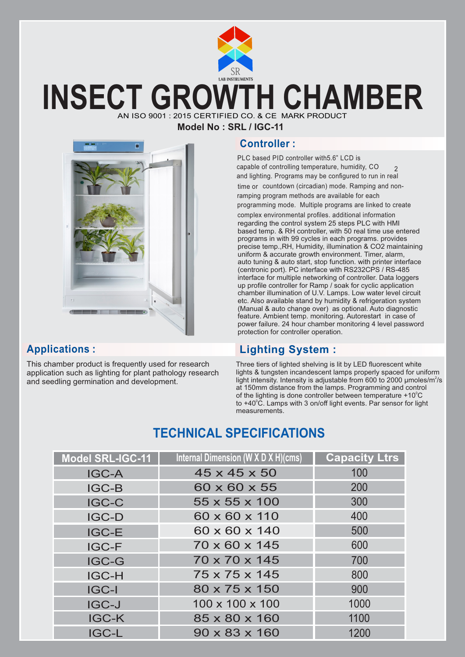

# **INSECT GROWTH CHAMBER** AN ISO 9001 : 2015 CERTIFIED CO. & CE MARK PRODI

**Model No : SRL / IGC-11**



This chamber product is frequently used for research application such as lighting for plant pathology research and seedling germination and development.

## **Controller :**

PLC based PID controller with5.6" LCD is capable of controlling temperature, humidity,  $CO \qquad$ and lighting. Programs may be configured to run in real time or countdown (circadian) mode. Ramping and nonramping program methods are available for each programming mode. Multiple programs are linked to create complex environmental profiles. additional information regarding the control system 25 steps PLC with HMI based temp. & RH controller, with 50 real time use entered programs in with 99 cycles in each programs. provides precise temp.,RH, Humidity, illumination & CO2 maintaining uniform & accurate growth environment. Timer, alarm, auto tuning & auto start, stop function. with printer interface (centronic port). PC interface with RS232CPS / RS-485 interface for multiple networking of controller. Data loggers up profile controller for Ramp / soak for cyclic application chamber illumination of U.V. Lamps. Low water level circuit etc. Also available stand by humidity & refrigeration system (Manual & auto change over) as optional. Auto diagnostic feature. Ambient temp. monitoring. Autorestart in case of power failure. 24 hour chamber monitoring 4 level password protection for controller operation.

## **Applications : Lighting System :**

Three tiers of lighted shelving is lit by LED fluorescent white lights & tungsten incandescent lamps properly spaced for uniform light intensity. Intensity is adjustable from 600 to 2000  $\mu$ moles/m<sup>2</sup>/s at 150mm distance from the lamps. Programming and control of the lighting is done controller between temperature  $+10^{\circ}$ C to +40°C. Lamps with 3 on/off light events. Par sensor for light measurements.

## **TECHNICAL SPECIFICATIONS**

| Model SRL-IGC-11 | Internal Dimension (W X D X H)(cms) | <b>Capacity Ltrs</b> |
|------------------|-------------------------------------|----------------------|
| <b>IGC-A</b>     | $45 \times 45 \times 50$            | 100                  |
| <b>IGC-B</b>     | 60 x 60 x 55                        | 200                  |
| <b>IGC-C</b>     | 55 x 55 x 100                       | 300                  |
| <b>IGC-D</b>     | 60 x 60 x 110                       | 400                  |
| <b>IGC-E</b>     | $60 \times 60 \times 140$           | 500                  |
| <b>IGC-F</b>     | 70 x 60 x 145                       | 600                  |
| <b>IGC-G</b>     | 70 x 70 x 145                       | 700                  |
| <b>IGC-H</b>     | 75 x 75 x 145                       | 800                  |
| <b>IGC-I</b>     | 80 x 75 x 150                       | 900                  |
| <b>IGC-J</b>     | $100 \times 100 \times 100$         | 1000                 |
| <b>IGC-K</b>     | 85 x 80 x 160                       | 1100                 |
| <b>IGC-L</b>     | $90 \times 83 \times 160$           | 1200                 |